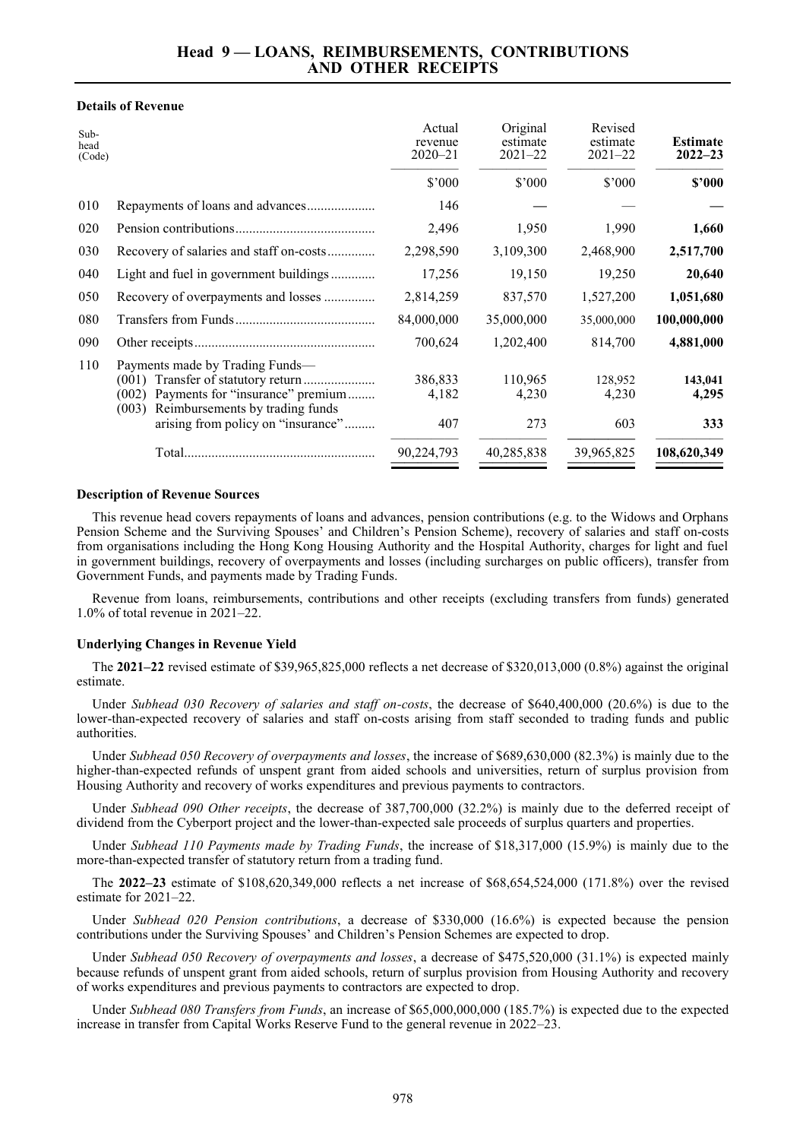## **Details of Revenue**

| $Sub-$<br>head<br>(Code) |                                                                                                                                                                                                         | Actual<br>revenue<br>$2020 - 21$ | Original<br>estimate<br>$2021 - 22$ | Revised<br>estimate<br>$2021 - 22$ | <b>Estimate</b><br>$2022 - 23$ |
|--------------------------|---------------------------------------------------------------------------------------------------------------------------------------------------------------------------------------------------------|----------------------------------|-------------------------------------|------------------------------------|--------------------------------|
|                          |                                                                                                                                                                                                         | \$'000                           | \$'000                              | \$'000                             | \$2000                         |
| 010                      | Repayments of loans and advances                                                                                                                                                                        | 146                              |                                     |                                    |                                |
| 020                      |                                                                                                                                                                                                         | 2,496                            | 1,950                               | 1,990                              | 1,660                          |
| 030                      | Recovery of salaries and staff on-costs                                                                                                                                                                 | 2,298,590                        | 3,109,300                           | 2,468,900                          | 2,517,700                      |
| 040                      | Light and fuel in government buildings                                                                                                                                                                  | 17,256                           | 19,150                              | 19,250                             | 20,640                         |
| 050                      | Recovery of overpayments and losses                                                                                                                                                                     | 2,814,259                        | 837,570                             | 1,527,200                          | 1,051,680                      |
| 080                      |                                                                                                                                                                                                         | 84,000,000                       | 35,000,000                          | 35,000,000                         | 100,000,000                    |
| 090                      |                                                                                                                                                                                                         | 700,624                          | 1,202,400                           | 814,700                            | 4,881,000                      |
| 110                      | Payments made by Trading Funds—<br>Transfer of statutory return<br>(001)<br>Payments for "insurance" premium<br>(002)<br>Reimbursements by trading funds<br>(003)<br>arising from policy on "insurance" | 386,833<br>4,182<br>407          | 110,965<br>4,230<br>273             | 128,952<br>4,230<br>603            | 143,041<br>4,295<br>333        |
|                          |                                                                                                                                                                                                         | 90,224,793                       | 40,285,838                          | 39,965,825                         | 108,620,349                    |

## **Description of Revenue Sources**

This revenue head covers repayments of loans and advances, pension contributions (e.g. to the Widows and Orphans Pension Scheme and the Surviving Spouses' and Children's Pension Scheme), recovery of salaries and staff on-costs from organisations including the Hong Kong Housing Authority and the Hospital Authority, charges for light and fuel in government buildings, recovery of overpayments and losses (including surcharges on public officers), transfer from Government Funds, and payments made by Trading Funds.

Revenue from loans, reimbursements, contributions and other receipts (excluding transfers from funds) generated 1.0% of total revenue in 2021–22.

## **Underlying Changes in Revenue Yield**

The **2021–22** revised estimate of \$39,965,825,000 reflects a net decrease of \$320,013,000 (0.8%) against the original estimate.

Under *Subhead 030 Recovery of salaries and staff on-costs*, the decrease of \$640,400,000 (20.6%) is due to the lower-than-expected recovery of salaries and staff on-costs arising from staff seconded to trading funds and public authorities.

Under *Subhead 050 Recovery of overpayments and losses*, the increase of \$689,630,000 (82.3%) is mainly due to the higher-than-expected refunds of unspent grant from aided schools and universities, return of surplus provision from Housing Authority and recovery of works expenditures and previous payments to contractors.

Under *Subhead 090 Other receipts*, the decrease of 387,700,000 (32.2%) is mainly due to the deferred receipt of dividend from the Cyberport project and the lower-than-expected sale proceeds of surplus quarters and properties.

Under *Subhead 110 Payments made by Trading Funds*, the increase of \$18,317,000 (15.9%) is mainly due to the more-than-expected transfer of statutory return from a trading fund.

The **2022–23** estimate of \$108,620,349,000 reflects a net increase of \$68,654,524,000 (171.8%) over the revised estimate for 2021–22.

Under *Subhead 020 Pension contributions*, a decrease of \$330,000 (16.6%) is expected because the pension contributions under the Surviving Spouses' and Children's Pension Schemes are expected to drop.

Under *Subhead 050 Recovery of overpayments and losses*, a decrease of \$475,520,000 (31.1%) is expected mainly because refunds of unspent grant from aided schools, return of surplus provision from Housing Authority and recovery of works expenditures and previous payments to contractors are expected to drop.

Under *Subhead 080 Transfers from Funds*, an increase of \$65,000,000,000 (185.7%) is expected due to the expected increase in transfer from Capital Works Reserve Fund to the general revenue in 2022–23.